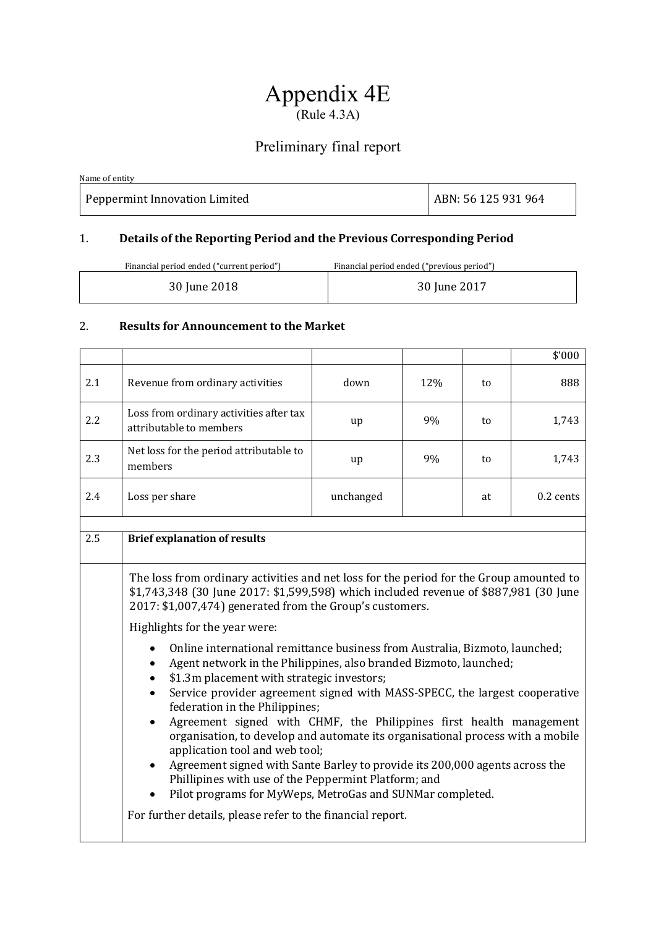# Appendix 4E  $(Rule 4.3A)$

## Preliminary final report

| Name of entity                |                     |
|-------------------------------|---------------------|
| Peppermint Innovation Limited | ABN: 56 125 931 964 |

### 1. **Details of the Reporting Period and the Previous Corresponding Period**

| Financial period ended ("current period") | Financial period ended ("previous period") |
|-------------------------------------------|--------------------------------------------|
| 30 June 2018                              | 30 June 2017                               |

#### 2. **Results for Announcement to the Market**

|     |                                                                                                                                                                                                                                                                                                                                                                                                                                                                                                                                                                                                                                                                                                                                                                                                                                                                                                                                                                                                                                                                                                    |           |     |    | \$'000    |  |  |
|-----|----------------------------------------------------------------------------------------------------------------------------------------------------------------------------------------------------------------------------------------------------------------------------------------------------------------------------------------------------------------------------------------------------------------------------------------------------------------------------------------------------------------------------------------------------------------------------------------------------------------------------------------------------------------------------------------------------------------------------------------------------------------------------------------------------------------------------------------------------------------------------------------------------------------------------------------------------------------------------------------------------------------------------------------------------------------------------------------------------|-----------|-----|----|-----------|--|--|
| 2.1 | Revenue from ordinary activities                                                                                                                                                                                                                                                                                                                                                                                                                                                                                                                                                                                                                                                                                                                                                                                                                                                                                                                                                                                                                                                                   | down      | 12% | to | 888       |  |  |
| 2.2 | Loss from ordinary activities after tax<br>attributable to members                                                                                                                                                                                                                                                                                                                                                                                                                                                                                                                                                                                                                                                                                                                                                                                                                                                                                                                                                                                                                                 | up        | 9%  | to | 1,743     |  |  |
| 2.3 | Net loss for the period attributable to<br>members                                                                                                                                                                                                                                                                                                                                                                                                                                                                                                                                                                                                                                                                                                                                                                                                                                                                                                                                                                                                                                                 | up        | 9%  | to | 1,743     |  |  |
| 2.4 | Loss per share                                                                                                                                                                                                                                                                                                                                                                                                                                                                                                                                                                                                                                                                                                                                                                                                                                                                                                                                                                                                                                                                                     | unchanged |     | at | 0.2 cents |  |  |
|     |                                                                                                                                                                                                                                                                                                                                                                                                                                                                                                                                                                                                                                                                                                                                                                                                                                                                                                                                                                                                                                                                                                    |           |     |    |           |  |  |
| 2.5 | <b>Brief explanation of results</b>                                                                                                                                                                                                                                                                                                                                                                                                                                                                                                                                                                                                                                                                                                                                                                                                                                                                                                                                                                                                                                                                |           |     |    |           |  |  |
|     | The loss from ordinary activities and net loss for the period for the Group amounted to<br>\$1,743,348 (30 June 2017: \$1,599,598) which included revenue of \$887,981 (30 June<br>2017: \$1,007,474) generated from the Group's customers.<br>Highlights for the year were:<br>Online international remittance business from Australia, Bizmoto, launched;<br>Agent network in the Philippines, also branded Bizmoto, launched;<br>\$1.3m placement with strategic investors;<br>Service provider agreement signed with MASS-SPECC, the largest cooperative<br>$\bullet$<br>federation in the Philippines;<br>Agreement signed with CHMF, the Philippines first health management<br>$\bullet$<br>organisation, to develop and automate its organisational process with a mobile<br>application tool and web tool;<br>Agreement signed with Sante Barley to provide its 200,000 agents across the<br>$\bullet$<br>Phillipines with use of the Peppermint Platform; and<br>Pilot programs for MyWeps, MetroGas and SUNMar completed.<br>For further details, please refer to the financial report. |           |     |    |           |  |  |